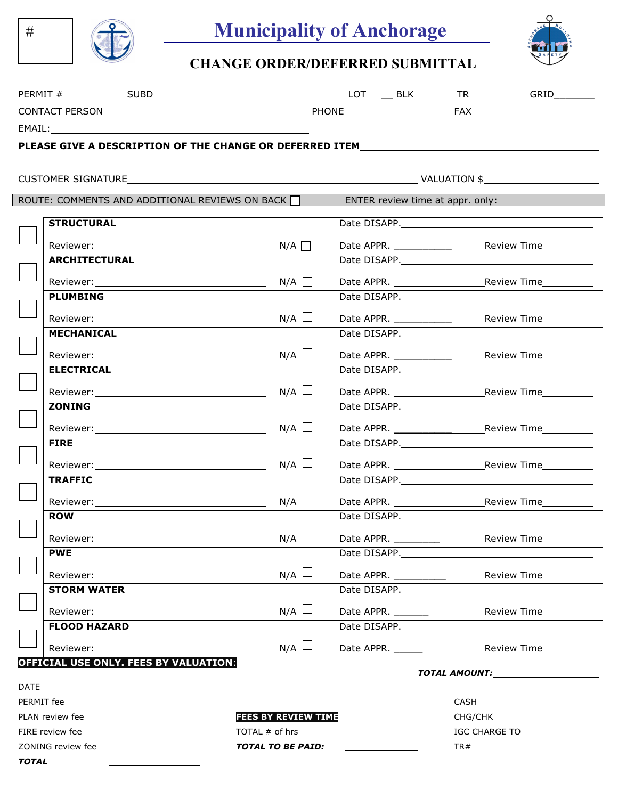



# **CHANGE ORDER/DEFERRED SUBMITTAL**

| <b>PERMI</b><br>. .                             | $\cdots$<br>וסטכ | ~-<br>└      | . .<br>DL | --         | <b>DRT</b><br>ukil |
|-------------------------------------------------|------------------|--------------|-----------|------------|--------------------|
| CONT<br>DE<br><b>RSON</b><br>-ΔC<br>$\sim$<br>ັ |                  | <b>PHONE</b> |           | A.<br>-′A∧ |                    |

EMAIL:

#

*TOTAL* 

ı

### **PLEASE GIVE A DESCRIPTION OF THE CHANGE OR DEFERRED ITEM**

| CUSTOMER SIGNATURE |  |
|--------------------|--|

| <b>CUSTOMER SIGNATURE</b>                                                                                                                                                                                                      | $\sim$ VALUATION \$                                   |                                  |                                                                                                                                                                                                                                |
|--------------------------------------------------------------------------------------------------------------------------------------------------------------------------------------------------------------------------------|-------------------------------------------------------|----------------------------------|--------------------------------------------------------------------------------------------------------------------------------------------------------------------------------------------------------------------------------|
|                                                                                                                                                                                                                                | ROUTE: COMMENTS AND ADDITIONAL REVIEWS ON BACK $\Box$ | ENTER review time at appr. only: |                                                                                                                                                                                                                                |
| <b>STRUCTURAL</b>                                                                                                                                                                                                              |                                                       |                                  |                                                                                                                                                                                                                                |
| Reviewer: when the contract of the contract of the contract of the contract of the contract of the contract of the contract of the contract of the contract of the contract of the contract of the contract of the contract of | $N/A$ $\Box$                                          |                                  |                                                                                                                                                                                                                                |
| <b>ARCHITECTURAL</b>                                                                                                                                                                                                           |                                                       |                                  |                                                                                                                                                                                                                                |
| $Reviewer:$ $N/A$ $\Box$                                                                                                                                                                                                       |                                                       |                                  |                                                                                                                                                                                                                                |
| <b>PLUMBING</b>                                                                                                                                                                                                                |                                                       |                                  |                                                                                                                                                                                                                                |
|                                                                                                                                                                                                                                | $N/A$ $\Box$                                          |                                  |                                                                                                                                                                                                                                |
| <b>MECHANICAL</b>                                                                                                                                                                                                              |                                                       |                                  | Date DISAPP. The contract of the contract of the contract of the contract of the contract of the contract of the contract of the contract of the contract of the contract of the contract of the contract of the contract of t |
|                                                                                                                                                                                                                                | $N/A$ $\Box$                                          |                                  |                                                                                                                                                                                                                                |
| <b>ELECTRICAL</b>                                                                                                                                                                                                              |                                                       |                                  |                                                                                                                                                                                                                                |
|                                                                                                                                                                                                                                | $N/A$ $\Box$                                          |                                  |                                                                                                                                                                                                                                |
| <b>ZONING</b>                                                                                                                                                                                                                  |                                                       |                                  |                                                                                                                                                                                                                                |
|                                                                                                                                                                                                                                | $N/A$ $\square$                                       |                                  |                                                                                                                                                                                                                                |
| <b>FIRE</b>                                                                                                                                                                                                                    |                                                       |                                  | Date DISAPP. Note that the same of the same of the same of the same of the same of the same of the same of the                                                                                                                 |
|                                                                                                                                                                                                                                | $N/A$ $\Box$                                          |                                  |                                                                                                                                                                                                                                |
| <b>TRAFFIC</b>                                                                                                                                                                                                                 |                                                       |                                  |                                                                                                                                                                                                                                |
|                                                                                                                                                                                                                                | $N/A$ $\Box$                                          |                                  |                                                                                                                                                                                                                                |
| <b>ROW</b>                                                                                                                                                                                                                     |                                                       |                                  |                                                                                                                                                                                                                                |
|                                                                                                                                                                                                                                | $N/A$ $\Box$                                          |                                  |                                                                                                                                                                                                                                |
| <b>PWE</b>                                                                                                                                                                                                                     |                                                       |                                  |                                                                                                                                                                                                                                |
|                                                                                                                                                                                                                                | $N/A$ $\square$                                       |                                  |                                                                                                                                                                                                                                |
| <b>STORM WATER</b>                                                                                                                                                                                                             |                                                       | Date DISAPP.                     |                                                                                                                                                                                                                                |
|                                                                                                                                                                                                                                | $N/A$ $\Box$                                          |                                  |                                                                                                                                                                                                                                |
| <b>FLOOD HAZARD</b>                                                                                                                                                                                                            |                                                       | Date DISAPP.                     |                                                                                                                                                                                                                                |
| Reviewer:                                                                                                                                                                                                                      | $N/A$ $\Box$                                          |                                  |                                                                                                                                                                                                                                |
| OFFICIAL USE ONLY. FEES BY VALUATION:                                                                                                                                                                                          |                                                       |                                  |                                                                                                                                                                                                                                |
| <b>DATE</b>                                                                                                                                                                                                                    |                                                       |                                  |                                                                                                                                                                                                                                |
| PERMIT fee<br>PLAN review fee                                                                                                                                                                                                  | <b>FEES BY REVIEW TIME</b>                            |                                  | CASH                                                                                                                                                                                                                           |
| <u> 1989 - Johann Barnett, fransk politiker</u><br>FIRE review fee                                                                                                                                                             | TOTAL # of hrs                                        |                                  | CHG/CHK<br>IGC CHARGE TO                                                                                                                                                                                                       |
|                                                                                                                                                                                                                                |                                                       |                                  |                                                                                                                                                                                                                                |

ZONING review fee **TOTAL TO BE PAID:** TOTAL TO BE PAID: